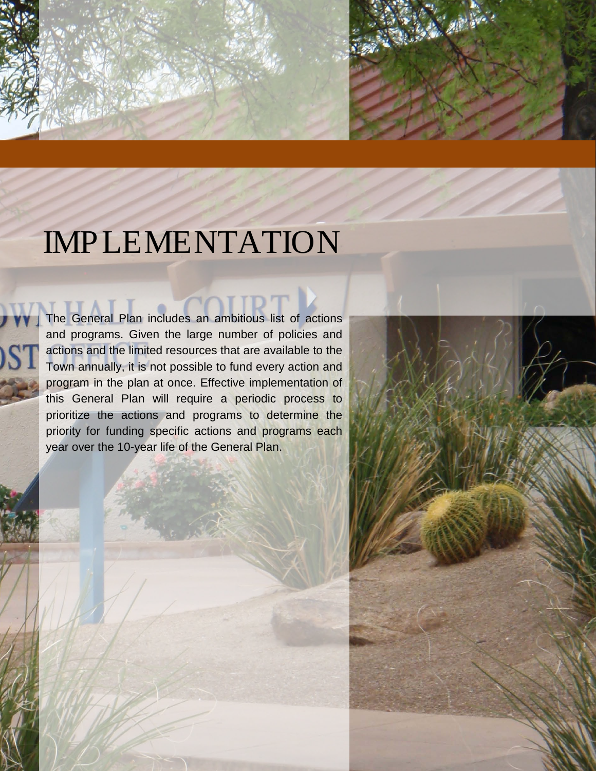

# IMPLEMENTATION

**IMPLEMENTATION** 

**TTAII** The General Plan includes an ambitious list of actions and programs. Given the large number of policies and actions and the limited resources that are available to the Town annually, it is not possible to fund every action and program in the plan at once. Effective implementation of this General Plan will require a periodic process to prioritize the actions and programs to determine the priority for funding specific actions and programs each year over the 10-year life of the General Plan.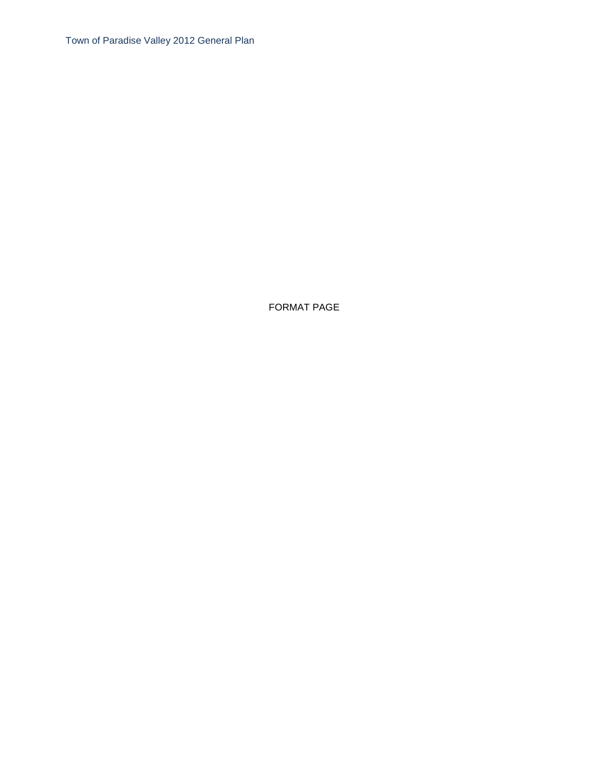Town of Paradise Valley 2012 General Plan

FORMAT PAGE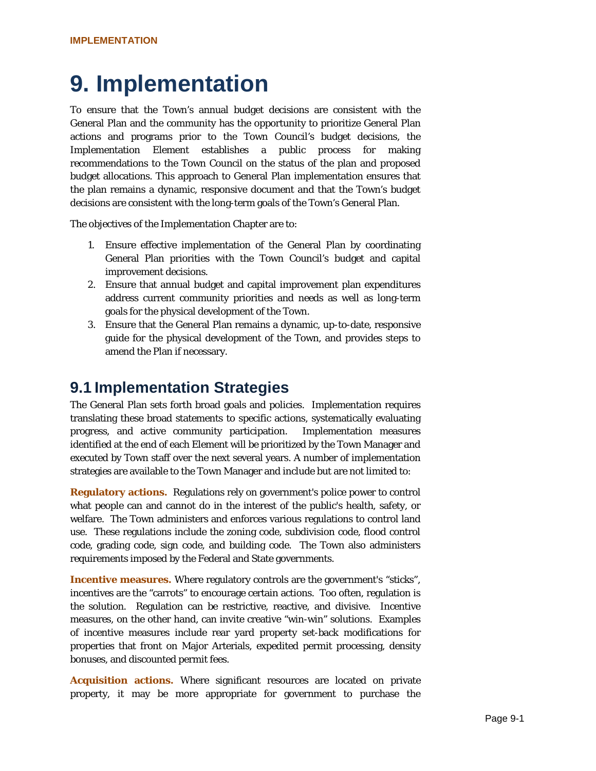## **9. Implementation**

To ensure that the Town's annual budget decisions are consistent with the General Plan and the community has the opportunity to prioritize General Plan actions and programs prior to the Town Council's budget decisions, the Implementation Element establishes a public process for making recommendations to the Town Council on the status of the plan and proposed budget allocations. This approach to General Plan implementation ensures that the plan remains a dynamic, responsive document and that the Town's budget decisions are consistent with the long-term goals of the Town's General Plan.

The objectives of the Implementation Chapter are to:

- 1. Ensure effective implementation of the General Plan by coordinating General Plan priorities with the Town Council's budget and capital improvement decisions.
- 2. Ensure that annual budget and capital improvement plan expenditures address current community priorities and needs as well as long-term goals for the physical development of the Town.
- 3. Ensure that the General Plan remains a dynamic, up-to-date, responsive guide for the physical development of the Town, and provides steps to amend the Plan if necessary.

#### **9.1 Implementation Strategies**

The General Plan sets forth broad goals and policies. Implementation requires translating these broad statements to specific actions, systematically evaluating progress, and active community participation. Implementation measures identified at the end of each Element will be prioritized by the Town Manager and executed by Town staff over the next several years. A number of implementation strategies are available to the Town Manager and include but are not limited to:

**Regulatory actions.** Regulations rely on government's police power to control what people can and cannot do in the interest of the public's health, safety, or welfare. The Town administers and enforces various regulations to control land use. These regulations include the zoning code, subdivision code, flood control code, grading code, sign code, and building code. The Town also administers requirements imposed by the Federal and State governments.

**Incentive measures.** Where regulatory controls are the government's "sticks", incentives are the "carrots" to encourage certain actions. Too often, regulation is the solution. Regulation can be restrictive, reactive, and divisive. Incentive measures, on the other hand, can invite creative "win-win" solutions. Examples of incentive measures include rear yard property set-back modifications for properties that front on Major Arterials, expedited permit processing, density bonuses, and discounted permit fees.

**Acquisition actions.** Where significant resources are located on private property, it may be more appropriate for government to purchase the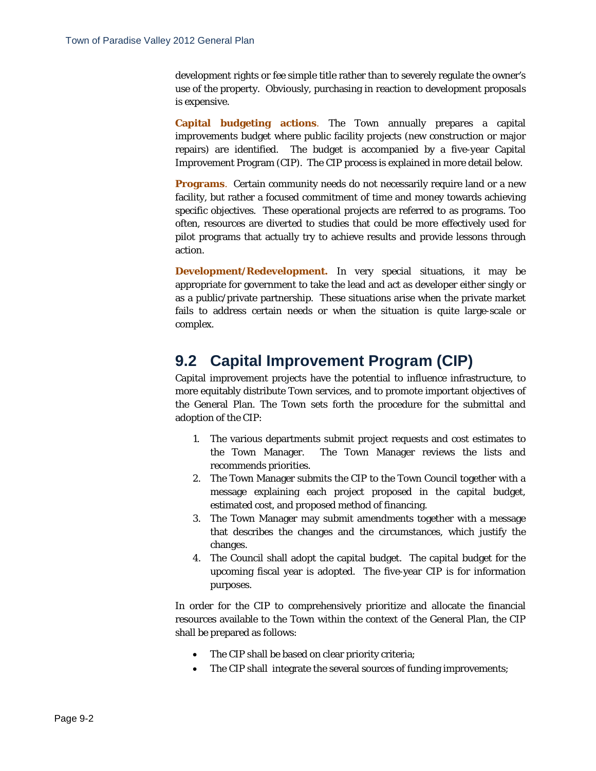development rights or fee simple title rather than to severely regulate the owner's use of the property. Obviously, purchasing in reaction to development proposals is expensive.

**Capital budgeting actions**. The Town annually prepares a capital improvements budget where public facility projects (new construction or major repairs) are identified. The budget is accompanied by a five-year Capital Improvement Program (CIP). The CIP process is explained in more detail below.

**Programs**. Certain community needs do not necessarily require land or a new facility, but rather a focused commitment of time and money towards achieving specific objectives. These operational projects are referred to as programs. Too often, resources are diverted to studies that could be more effectively used for pilot programs that actually try to achieve results and provide lessons through action.

**Development/Redevelopment.** In very special situations, it may be appropriate for government to take the lead and act as developer either singly or as a public/private partnership. These situations arise when the private market fails to address certain needs or when the situation is quite large-scale or complex.

### **9.2 Capital Improvement Program (CIP)**

Capital improvement projects have the potential to influence infrastructure, to more equitably distribute Town services, and to promote important objectives of the General Plan. The Town sets forth the procedure for the submittal and adoption of the CIP:

- 1. The various departments submit project requests and cost estimates to the Town Manager. The Town Manager reviews the lists and recommends priorities.
- 2. The Town Manager submits the CIP to the Town Council together with a message explaining each project proposed in the capital budget, estimated cost, and proposed method of financing.
- 3. The Town Manager may submit amendments together with a message that describes the changes and the circumstances, which justify the changes.
- 4. The Council shall adopt the capital budget. The capital budget for the upcoming fiscal year is adopted. The five-year CIP is for information purposes.

In order for the CIP to comprehensively prioritize and allocate the financial resources available to the Town within the context of the General Plan, the CIP shall be prepared as follows:

- The CIP shall be based on clear priority criteria;
- The CIP shall integrate the several sources of funding improvements;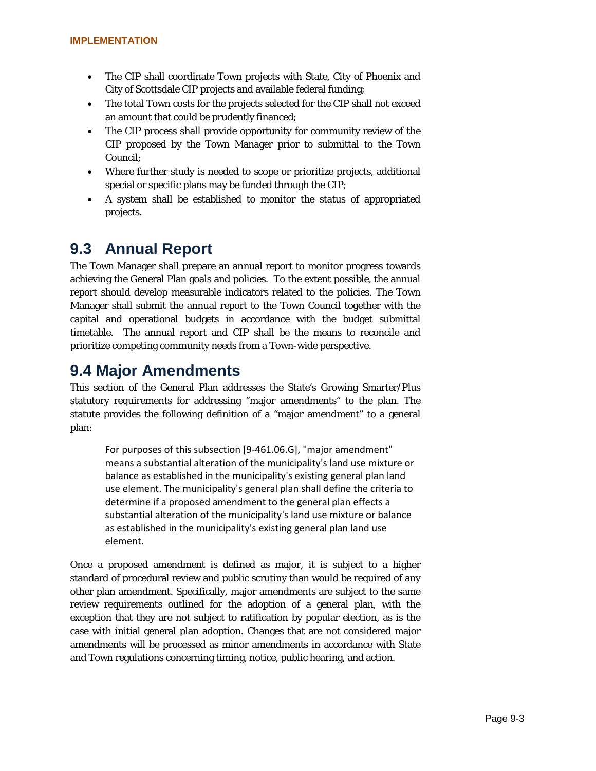- The CIP shall coordinate Town projects with State, City of Phoenix and City of Scottsdale CIP projects and available federal funding;
- The total Town costs for the projects selected for the CIP shall not exceed an amount that could be prudently financed;
- The CIP process shall provide opportunity for community review of the CIP proposed by the Town Manager prior to submittal to the Town Council;
- Where further study is needed to scope or prioritize projects, additional special or specific plans may be funded through the CIP;
- A system shall be established to monitor the status of appropriated projects.

## **9.3 Annual Report**

The Town Manager shall prepare an annual report to monitor progress towards achieving the General Plan goals and policies. To the extent possible, the annual report should develop measurable indicators related to the policies. The Town Manager shall submit the annual report to the Town Council together with the capital and operational budgets in accordance with the budget submittal timetable. The annual report and CIP shall be the means to reconcile and prioritize competing community needs from a Town-wide perspective.

## **9.4 Major Amendments**

This section of the General Plan addresses the State's Growing Smarter/Plus statutory requirements for addressing "major amendments" to the plan. The statute provides the following definition of a "major amendment" to a general plan:

For purposes of this subsection [9-461.06.G], "major amendment" means a substantial alteration of the municipality's land use mixture or balance as established in the municipality's existing general plan land use element. The municipality's general plan shall define the criteria to determine if a proposed amendment to the general plan effects a substantial alteration of the municipality's land use mixture or balance as established in the municipality's existing general plan land use element.

Once a proposed amendment is defined as major, it is subject to a higher standard of procedural review and public scrutiny than would be required of any other plan amendment. Specifically, major amendments are subject to the same review requirements outlined for the adoption of a general plan, with the exception that they are not subject to ratification by popular election, as is the case with initial general plan adoption. Changes that are not considered major amendments will be processed as minor amendments in accordance with State and Town regulations concerning timing, notice, public hearing, and action.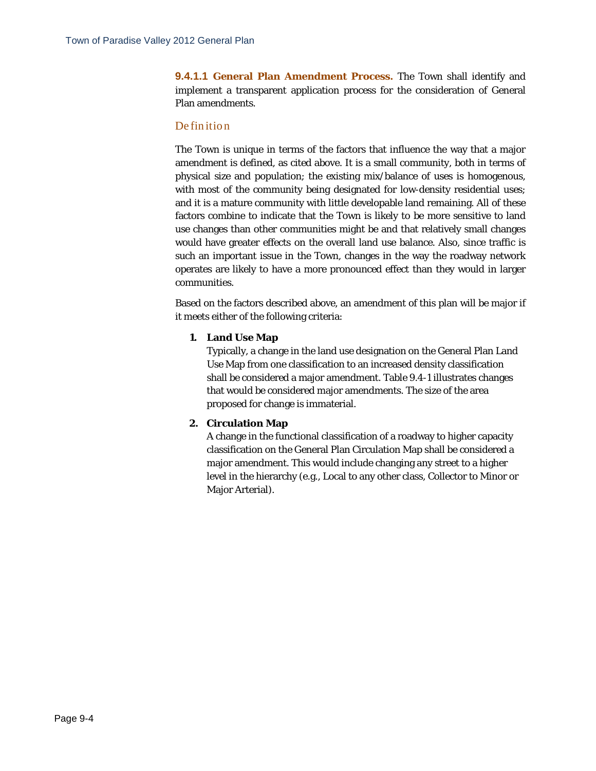**9.4.1.1 General Plan Amendment Process.** The Town shall identify and implement a transparent application process for the consideration of General Plan amendments.

#### Definition

The Town is unique in terms of the factors that influence the way that a major amendment is defined, as cited above. It is a small community, both in terms of physical size and population; the existing mix/balance of uses is homogenous, with most of the community being designated for low-density residential uses; and it is a mature community with little developable land remaining. All of these factors combine to indicate that the Town is likely to be more sensitive to land use changes than other communities might be and that relatively small changes would have greater effects on the overall land use balance. Also, since traffic is such an important issue in the Town, changes in the way the roadway network operates are likely to have a more pronounced effect than they would in larger communities.

Based on the factors described above, an amendment of this plan will be major if it meets either of the following criteria:

#### **1. Land Use Map**

Typically, a change in the land use designation on the General Plan Land Use Map from one classification to an increased density classification shall be considered a major amendment. Table 9.4-1 illustrates changes that would be considered major amendments. The size of the area proposed for change is immaterial.

#### **2. Circulation Map**

A change in the functional classification of a roadway to higher capacity classification on the General Plan Circulation Map shall be considered a major amendment. This would include changing any street to a higher level in the hierarchy (e.g., Local to any other class, Collector to Minor or Major Arterial).